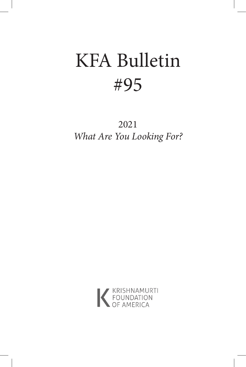# KFA Bulletin #95

2021 *What Are You Looking For?*

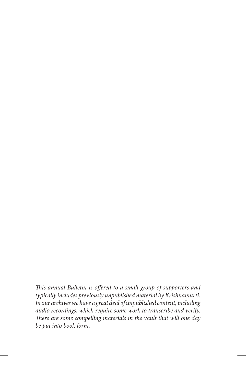*This annual Bulletin is offered to a small group of supporters and typically includes previously unpublished material by Krishnamurti. In our archives we have a great deal of unpublished content, including audio recordings, which require some work to transcribe and verify. There are some compelling materials in the vault that will one day be put into book form.*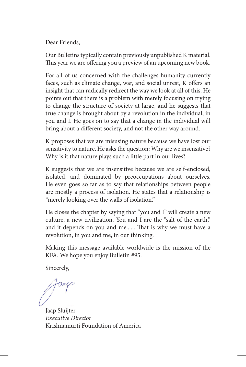Dear Friends,

Our Bulletins typically contain previously unpublished K material. This year we are offering you a preview of an upcoming new book.

For all of us concerned with the challenges humanity currently faces, such as climate change, war, and social unrest, K offers an insight that can radically redirect the way we look at all of this. He points out that there is a problem with merely focusing on trying to change the structure of society at large, and he suggests that true change is brought about by a revolution in the individual, in you and I. He goes on to say that a change in the individual will bring about a different society, and not the other way around.

K proposes that we are misusing nature because we have lost our sensitivity to nature. He asks the question: Why are we insensitive? Why is it that nature plays such a little part in our lives?

K suggests that we are insensitive because we are self-enclosed, isolated, and dominated by preoccupations about ourselves. He even goes so far as to say that relationships between people are mostly a process of isolation. He states that a relationship is "merely looking over the walls of isolation."

He closes the chapter by saying that "you and I" will create a new culture, a new civilization. You and I are the "salt of the earth," and it depends on you and me...... That is why we must have a revolution, in you and me, in our thinking.

Making this message available worldwide is the mission of the KFA. We hope you enjoy Bulletin #95.

Sincerely,

Jaap Sluijter *Executive Director*  Krishnamurti Foundation of America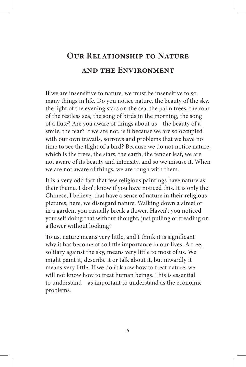# **Our Relationship to Nature and the Environment**

If we are insensitive to nature, we must be insensitive to so many things in life. Do you notice nature, the beauty of the sky, the light of the evening stars on the sea, the palm trees, the roar of the restless sea, the song of birds in the morning, the song of a flute? Are you aware of things about us—the beauty of a smile, the fear? If we are not, is it because we are so occupied with our own travails, sorrows and problems that we have no time to see the flight of a bird? Because we do not notice nature, which is the trees, the stars, the earth, the tender leaf, we are not aware of its beauty and intensity, and so we misuse it. When we are not aware of things, we are rough with them.

It is a very odd fact that few religious paintings have nature as their theme. I don't know if you have noticed this. It is only the Chinese, I believe, that have a sense of nature in their religious pictures; here, we disregard nature. Walking down a street or in a garden, you casually break a flower. Haven't you noticed yourself doing that without thought, just pulling or treading on a flower without looking?

To us, nature means very little, and I think it is significant why it has become of so little importance in our lives. A tree, solitary against the sky, means very little to most of us. We might paint it, describe it or talk about it, but inwardly it means very little. If we don't know how to treat nature, we will not know how to treat human beings. This is essential to understand—as important to understand as the economic problems.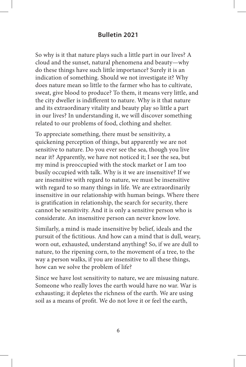So why is it that nature plays such a little part in our lives? A cloud and the sunset, natural phenomena and beauty—why do these things have such little importance? Surely it is an indication of something. Should we not investigate it? Why does nature mean so little to the farmer who has to cultivate, sweat, give blood to produce? To them, it means very little, and the city dweller is indifferent to nature. Why is it that nature and its extraordinary vitality and beauty play so little a part in our lives? In understanding it, we will discover something related to our problems of food, clothing and shelter.

To appreciate something, there must be sensitivity, a quickening perception of things, but apparently we are not sensitive to nature. Do you ever see the sea, though you live near it? Apparently, we have not noticed it; I see the sea, but my mind is preoccupied with the stock market or I am too busily occupied with talk. Why is it we are insensitive? If we are insensitive with regard to nature, we must be insensitive with regard to so many things in life. We are extraordinarily insensitive in our relationship with human beings. Where there is gratification in relationship, the search for security, there cannot be sensitivity. And it is only a sensitive person who is considerate. An insensitive person can never know love.

Similarly, a mind is made insensitive by belief, ideals and the pursuit of the fictitious. And how can a mind that is dull, weary, worn out, exhausted, understand anything? So, if we are dull to nature, to the ripening corn, to the movement of a tree, to the way a person walks, if you are insensitive to all these things, how can we solve the problem of life?

Since we have lost sensitivity to nature, we are misusing nature. Someone who really loves the earth would have no war. War is exhausting; it depletes the richness of the earth. We are using soil as a means of profit. We do not love it or feel the earth,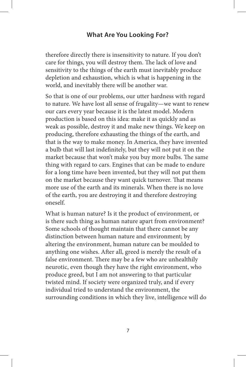therefore directly there is insensitivity to nature. If you don't care for things, you will destroy them. The lack of love and sensitivity to the things of the earth must inevitably produce depletion and exhaustion, which is what is happening in the world, and inevitably there will be another war.

So that is one of our problems, our utter hardness with regard to nature. We have lost all sense of frugality—we want to renew our cars every year because it is the latest model. Modern production is based on this idea: make it as quickly and as weak as possible, destroy it and make new things. We keep on producing, therefore exhausting the things of the earth, and that is the way to make money. In America, they have invented a bulb that will last indefinitely, but they will not put it on the market because that won't make you buy more bulbs. The same thing with regard to cars. Engines that can be made to endure for a long time have been invented, but they will not put them on the market because they want quick turnover. That means more use of the earth and its minerals. When there is no love of the earth, you are destroying it and therefore destroying oneself.

What is human nature? Is it the product of environment, or is there such thing as human nature apart from environment? Some schools of thought maintain that there cannot be any distinction between human nature and environment; by altering the environment, human nature can be moulded to anything one wishes. After all, greed is merely the result of a false environment. There may be a few who are unhealthily neurotic, even though they have the right environment, who produce greed, but I am not answering to that particular twisted mind. If society were organized truly, and if every individual tried to understand the environment, the surrounding conditions in which they live, intelligence will do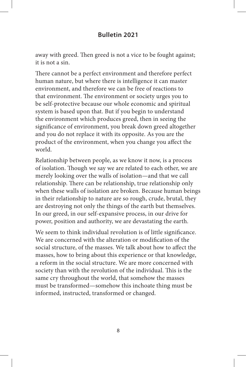away with greed. Then greed is not a vice to be fought against; it is not a sin.

There cannot be a perfect environment and therefore perfect human nature, but where there is intelligence it can master environment, and therefore we can be free of reactions to that environment. The environment or society urges you to be self-protective because our whole economic and spiritual system is based upon that. But if you begin to understand the environment which produces greed, then in seeing the significance of environment, you break down greed altogether and you do not replace it with its opposite. As you are the product of the environment, when you change you affect the world.

Relationship between people, as we know it now, is a process of isolation. Though we say we are related to each other, we are merely looking over the walls of isolation—and that we call relationship. There can be relationship, true relationship only when these walls of isolation are broken. Because human beings in their relationship to nature are so rough, crude, brutal, they are destroying not only the things of the earth but themselves. In our greed, in our self-expansive process, in our drive for power, position and authority, we are devastating the earth.

We seem to think individual revolution is of little significance. We are concerned with the alteration or modification of the social structure, of the masses. We talk about how to affect the masses, how to bring about this experience or that knowledge, a reform in the social structure. We are more concerned with society than with the revolution of the individual. This is the same cry throughout the world, that somehow the masses must be transformed—somehow this inchoate thing must be informed, instructed, transformed or changed.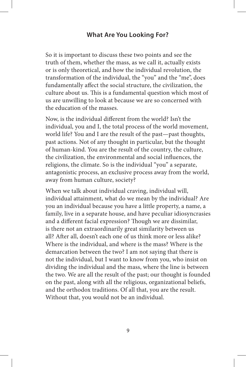So it is important to discuss these two points and see the truth of them, whether the mass, as we call it, actually exists or is only theoretical, and how the individual revolution, the transformation of the individual, the "you" and the "me", does fundamentally affect the social structure, the civilization, the culture about us. This is a fundamental question which most of us are unwilling to look at because we are so concerned with the education of the masses.

Now, is the individual different from the world? Isn't the individual, you and I, the total process of the world movement, world life? You and I are the result of the past—past thoughts, past actions. Not of any thought in particular, but the thought of human-kind. You are the result of the country, the culture, the civilization, the environmental and social influences, the religions, the climate. So is the individual "you" a separate, antagonistic process, an exclusive process away from the world, away from human culture, society?

When we talk about individual craving, individual will, individual attainment, what do we mean by the individual? Are you an individual because you have a little property, a name, a family, live in a separate house, and have peculiar idiosyncrasies and a different facial expression? Though we are dissimilar, is there not an extraordinarily great similarity between us all? After all, doesn't each one of us think more or less alike? Where is the individual, and where is the mass? Where is the demarcation between the two? I am not saying that there is not the individual, but I want to know from you, who insist on dividing the individual and the mass, where the line is between the two. We are all the result of the past; our thought is founded on the past, along with all the religious, organizational beliefs, and the orthodox traditions. Of all that, you are the result. Without that, you would not be an individual.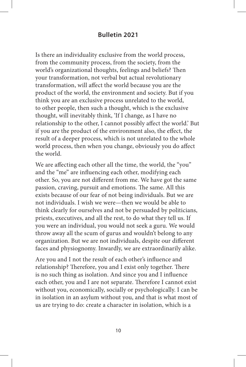Is there an individuality exclusive from the world process, from the community process, from the society, from the world's organizational thoughts, feelings and beliefs? Then your transformation, not verbal but actual revolutionary transformation, will affect the world because you are the product of the world, the environment and society. But if you think you are an exclusive process unrelated to the world, to other people, then such a thought, which is the exclusive thought, will inevitably think, 'If I change, as I have no relationship to the other, I cannot possibly affect the world.' But if you are the product of the environment also, the effect, the result of a deeper process, which is not unrelated to the whole world process, then when you change, obviously you do affect the world.

We are affecting each other all the time, the world, the "you" and the "me" are influencing each other, modifying each other. So, you are not different from me. We have got the same passion, craving, pursuit and emotions. The same. All this exists because of our fear of not being individuals. But we are not individuals. I wish we were—then we would be able to think clearly for ourselves and not be persuaded by politicians, priests, executives, and all the rest, to do what they tell us. If you were an individual, you would not seek a guru. We would throw away all the scum of gurus and wouldn't belong to any organization. But we are not individuals, despite our different faces and physiognomy. Inwardly, we are extraordinarily alike.

Are you and I not the result of each other's influence and relationship? Therefore, you and I exist only together. There is no such thing as isolation. And since you and I influence each other, you and I are not separate. Therefore I cannot exist without you, economically, socially or psychologically. I can be in isolation in an asylum without you, and that is what most of us are trying to do: create a character in isolation, which is a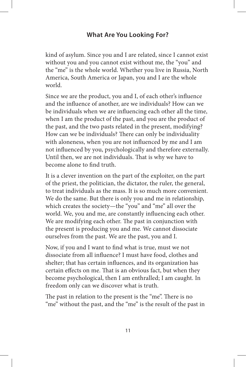kind of asylum. Since you and I are related, since I cannot exist without you and you cannot exist without me, the "you" and the "me" is the whole world. Whether you live in Russia, North America, South America or Japan, you and I are the whole world.

Since we are the product, you and I, of each other's influence and the influence of another, are we individuals? How can we be individuals when we are influencing each other all the time, when I am the product of the past, and you are the product of the past, and the two pasts related in the present, modifying? How can we be individuals? There can only be individuality with aloneness, when you are not influenced by me and I am not influenced by you, psychologically and therefore externally. Until then, we are not individuals. That is why we have to become alone to find truth.

It is a clever invention on the part of the exploiter, on the part of the priest, the politician, the dictator, the ruler, the general, to treat individuals as the mass. It is so much more convenient. We do the same. But there is only you and me in relationship, which creates the society—the "you" and "me" all over the world. We, you and me, are constantly influencing each other. We are modifying each other. The past in conjunction with the present is producing you and me. We cannot dissociate ourselves from the past. We are the past, you and I.

Now, if you and I want to find what is true, must we not dissociate from all influence? I must have food, clothes and shelter; that has certain influences, and its organization has certain effects on me. That is an obvious fact, but when they become psychological, then I am enthralled; I am caught. In freedom only can we discover what is truth.

The past in relation to the present is the "me". There is no "me" without the past, and the "me" is the result of the past in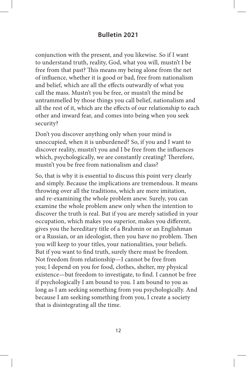conjunction with the present, and you likewise. So if I want to understand truth, reality, God, what you will, mustn't I be free from that past? This means my being alone from the net of influence, whether it is good or bad, free from nationalism and belief, which are all the effects outwardly of what you call the mass. Mustn't you be free, or mustn't the mind be untrammelled by those things you call belief, nationalism and all the rest of it, which are the effects of our relationship to each other and inward fear, and comes into being when you seek security?

Don't you discover anything only when your mind is unoccupied, when it is unburdened? So, if you and I want to discover reality, mustn't you and I be free from the influences which, psychologically, we are constantly creating? Therefore, mustn't you be free from nationalism and class?

So, that is why it is essential to discuss this point very clearly and simply. Because the implications are tremendous. It means throwing over all the traditions, which are mere imitation, and re-examining the whole problem anew. Surely, you can examine the whole problem anew only when the intention to discover the truth is real. But if you are merely satisfied in your occupation, which makes you superior, makes you different, gives you the hereditary title of a Brahmin or an Englishman or a Russian, or an ideologist, then you have no problem. Then you will keep to your titles, your nationalities, your beliefs. But if you want to find truth, surely there must be freedom. Not freedom from relationship—I cannot be free from you; I depend on you for food, clothes, shelter, my physical existence—but freedom to investigate, to find. I cannot be free if psychologically I am bound to you. I am bound to you as long as I am seeking something from you psychologically. And because I am seeking something from you, I create a society that is disintegrating all the time.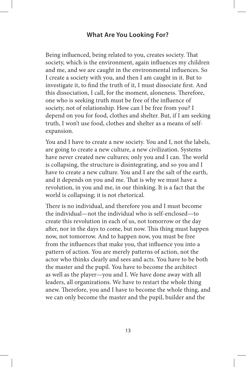Being influenced, being related to you, creates society. That society, which is the environment, again influences my children and me, and we are caught in the environmental influences. So I create a society with you, and then I am caught in it. But to investigate it, to find the truth of it, I must dissociate first. And this dissociation, I call, for the moment, aloneness. Therefore, one who is seeking truth must be free of the influence of society, not of relationship. How can I be free from you? I depend on you for food, clothes and shelter. But, if I am seeking truth, I won't use food, clothes and shelter as a means of selfexpansion.

You and I have to create a new society. You and I, not the labels, are going to create a new culture, a new civilization. Systems have never created new cultures; only you and I can. The world is collapsing, the structure is disintegrating, and so you and I have to create a new culture. You and I are the salt of the earth, and it depends on you and me. That is why we must have a revolution, in you and me, in our thinking. It is a fact that the world is collapsing; it is not rhetorical.

There is no individual, and therefore you and I must become the individual—not the individual who is self-enclosed—to create this revolution in each of us, not tomorrow or the day after, nor in the days to come, but now. This thing must happen now, not tomorrow. And to happen now, you must be free from the influences that make you, that influence you into a pattern of action. You are merely patterns of action, not the actor who thinks clearly and sees and acts. You have to be both the master and the pupil. You have to become the architect as well as the player—you and I. We have done away with all leaders, all organizations. We have to restart the whole thing anew. Therefore, you and I have to become the whole thing, and we can only become the master and the pupil, builder and the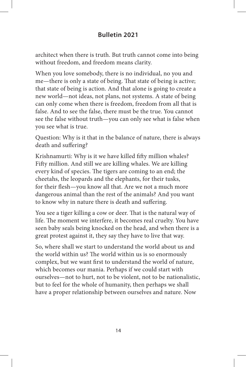architect when there is truth. But truth cannot come into being without freedom, and freedom means clarity.

When you love somebody, there is no individual, no you and me—there is only a state of being. That state of being is active; that state of being is action. And that alone is going to create a new world—not ideas, not plans, not systems. A state of being can only come when there is freedom, freedom from all that is false. And to see the false, there must be the true. You cannot see the false without truth—you can only see what is false when you see what is true.

Question: Why is it that in the balance of nature, there is always death and suffering?

Krishnamurti: Why is it we have killed fifty million whales? Fifty million. And still we are killing whales. We are killing every kind of species. The tigers are coming to an end; the cheetahs, the leopards and the elephants, for their tusks, for their flesh—you know all that. Are we not a much more dangerous animal than the rest of the animals? And you want to know why in nature there is death and suffering.

You see a tiger killing a cow or deer. That is the natural way of life. The moment we interfere, it becomes real cruelty. You have seen baby seals being knocked on the head, and when there is a great protest against it, they say they have to live that way.

So, where shall we start to understand the world about us and the world within us? The world within us is so enormously complex, but we want first to understand the world of nature, which becomes our mania. Perhaps if we could start with ourselves—not to hurt, not to be violent, not to be nationalistic, but to feel for the whole of humanity, then perhaps we shall have a proper relationship between ourselves and nature. Now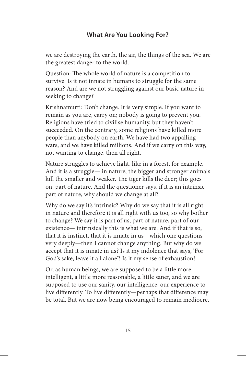we are destroying the earth, the air, the things of the sea. We are the greatest danger to the world.

Question: The whole world of nature is a competition to survive. Is it not innate in humans to struggle for the same reason? And are we not struggling against our basic nature in seeking to change?

Krishnamurti: Don't change. It is very simple. If you want to remain as you are, carry on; nobody is going to prevent you. Religions have tried to civilise humanity, but they haven't succeeded. On the contrary, some religions have killed more people than anybody on earth. We have had two appalling wars, and we have killed millions. And if we carry on this way, not wanting to change, then all right.

Nature struggles to achieve light, like in a forest, for example. And it is a struggle— in nature, the bigger and stronger animals kill the smaller and weaker. The tiger kills the deer; this goes on, part of nature. And the questioner says, if it is an intrinsic part of nature, why should we change at all?

Why do we say it's intrinsic? Why do we say that it is all right in nature and therefore it is all right with us too, so why bother to change? We say it is part of us, part of nature, part of our existence— intrinsically this is what we are. And if that is so, that it is instinct, that it is innate in us—which one questions very deeply—then I cannot change anything. But why do we accept that it is innate in us? Is it my indolence that says, 'For God's sake, leave it all alone'? Is it my sense of exhaustion?

Or, as human beings, we are supposed to be a little more intelligent, a little more reasonable, a little saner, and we are supposed to use our sanity, our intelligence, our experience to live differently. To live differently—perhaps that difference may be total. But we are now being encouraged to remain mediocre,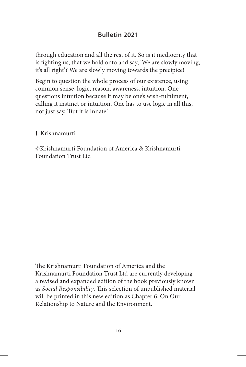through education and all the rest of it. So is it mediocrity that is fighting us, that we hold onto and say, 'We are slowly moving, it's all right'? We are slowly moving towards the precipice!

Begin to question the whole process of our existence, using common sense, logic, reason, awareness, intuition. One questions intuition because it may be one's wish-fulfilment, calling it instinct or intuition. One has to use logic in all this, not just say, 'But it is innate.'

J. Krishnamurti

©Krishnamurti Foundation of America & Krishnamurti Foundation Trust Ltd

The Krishnamurti Foundation of America and the Krishnamurti Foundation Trust Ltd are currently developing a revised and expanded edition of the book previously known as *Social Responsibility*. This selection of unpublished material will be printed in this new edition as Chapter 6: On Our Relationship to Nature and the Environment.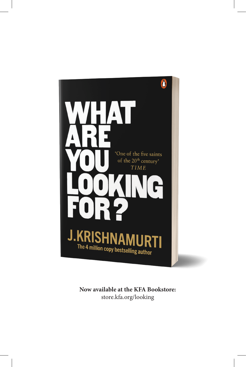

**Now available at the KFA Bookstore:** store.kfa.org/looking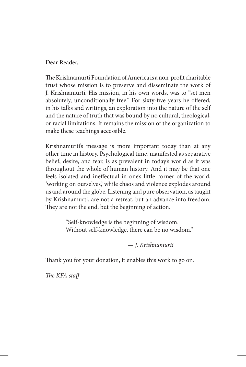Dear Reader,

The Krishnamurti Foundation of America is a non-profit charitable trust whose mission is to preserve and disseminate the work of J. Krishnamurti. His mission, in his own words, was to "set men absolutely, unconditionally free." For sixty-five years he offered, in his talks and writings, an exploration into the nature of the self and the nature of truth that was bound by no cultural, theological, or racial limitations. It remains the mission of the organization to make these teachings accessible.

Krishnamurti's message is more important today than at any other time in history. Psychological time, manifested as separative belief, desire, and fear, is as prevalent in today's world as it was throughout the whole of human history. And it may be that one feels isolated and ineffectual in one's little corner of the world, 'working on ourselves,' while chaos and violence explodes around us and around the globe. Listening and pure observation, as taught by Krishnamurti, are not a retreat, but an advance into freedom. They are not the end, but the beginning of action.

> "Self-knowledge is the beginning of wisdom. Without self-knowledge, there can be no wisdom."

> > *— J. Krishnamurti*

Thank you for your donation, it enables this work to go on.

*The KFA staff*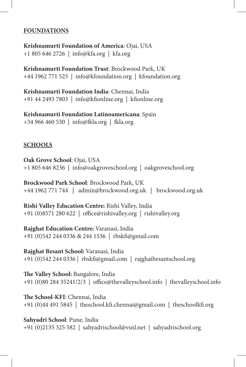#### **FOUNDATIONS**

**Krishnamurti Foundation of America**: Ojai, USA +1 805 646 2726 | info@kfa.org | kfa.org

**Krishnamurti Foundation Trust**: Brockwood Park, UK +44 1962 771 525 | info@kfoundation.org | kfoundation.org

**Krishnamurti Foundation India**: Chennai, India +91 44 2493 7803 | info@kfionline.org | kfionline.org

**Krishnamurti Foundation Latinoamericana**: Spain +34 966 460 530 | info@fkla.org | fkla.org

#### **SCHOOLS**

**Oak Grove School**: Ojai, USA +1 805 646 8236 | info@oakgroveschool.org | oakgroveschool.org

**Brockwood Park School**: Brockwood Park, UK +44 1962 771 744 | admin@brockwood.org.uk | brockwood.org.uk

**Rishi Valley Education Centre:** Rishi Valley, India +91 (0)8571 280 622 | office@rishivalley.org | rishivalley.org

**Rajghat Education Centre:** Varanasi, India +91 (0)542 244 0336 & 244 1536 | rbskfi@gmail.com

**Rajghat Besant School:** Varanasi, India +91 (0)542 244 0336 | rbskfi@gmail.com | rajghatbesantschool.org

**The Valley School:** Bangalore, India +91 (0)80 284 35241/2/3 | office@thevalleyschool.info | thevalleyschool.info

**The School-KFI**: Chennai, India +91 (0)44 491 5845 | theschool.kfi.chennai@gmail.com | theschoolkfi.org

**Sahyadri School**: Pune, India +91 (0)2135 325 582 | sahyadrischool@vsnl.net | sahyadrischool.org